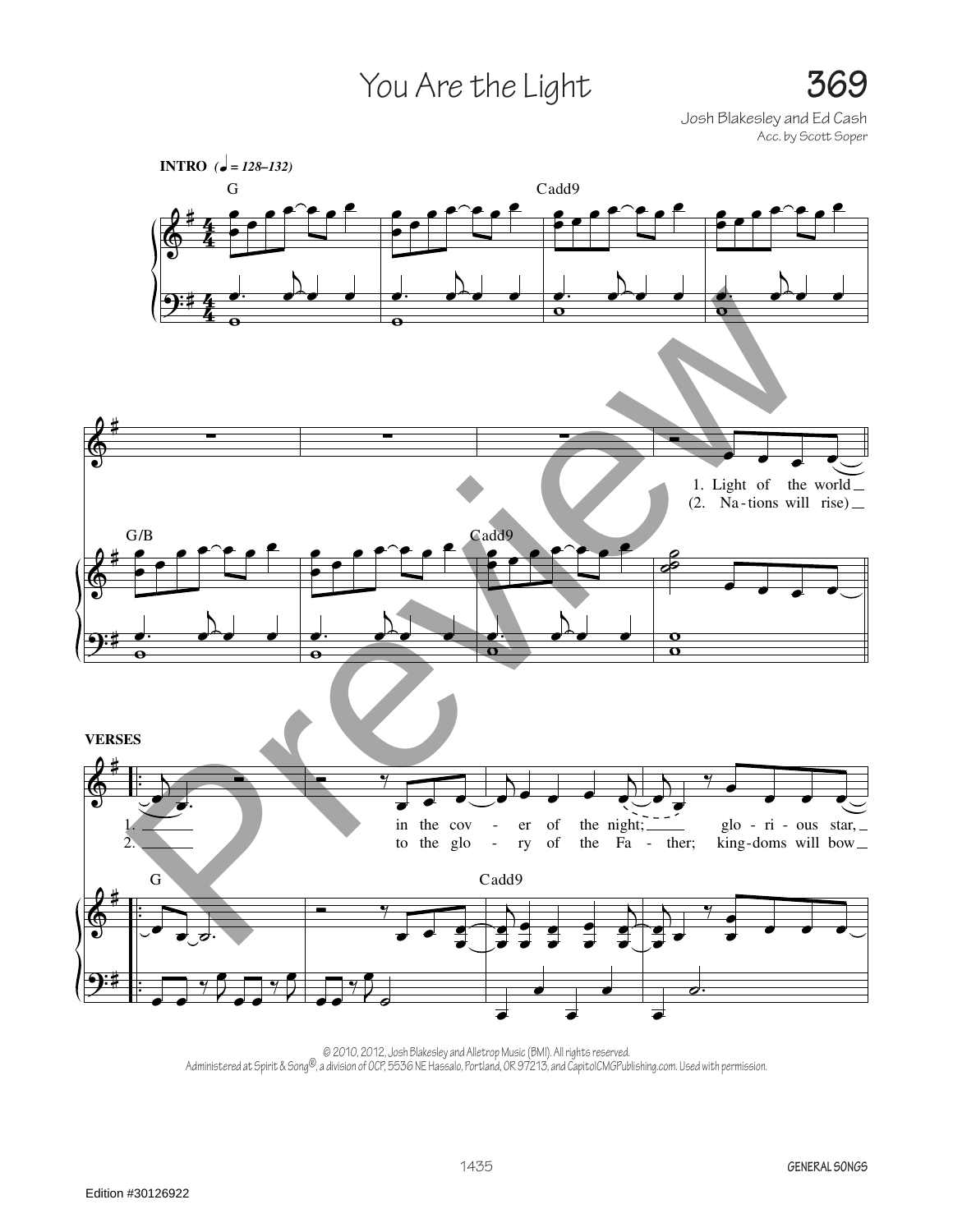## You Are the Light **369**

Josh Blakesley and Ed Cash Acc. by Scott Soper



<sup>© 2010, 2012,</sup> Josh Blakesley and Alletrop Music (BMI). All rights reserved.<br>Administered at Spirit & Song®, a division of OCP, 5536 NE Hassalo, Portland, OR 97213, and CapitolCMGPublishing.com. Used with permission.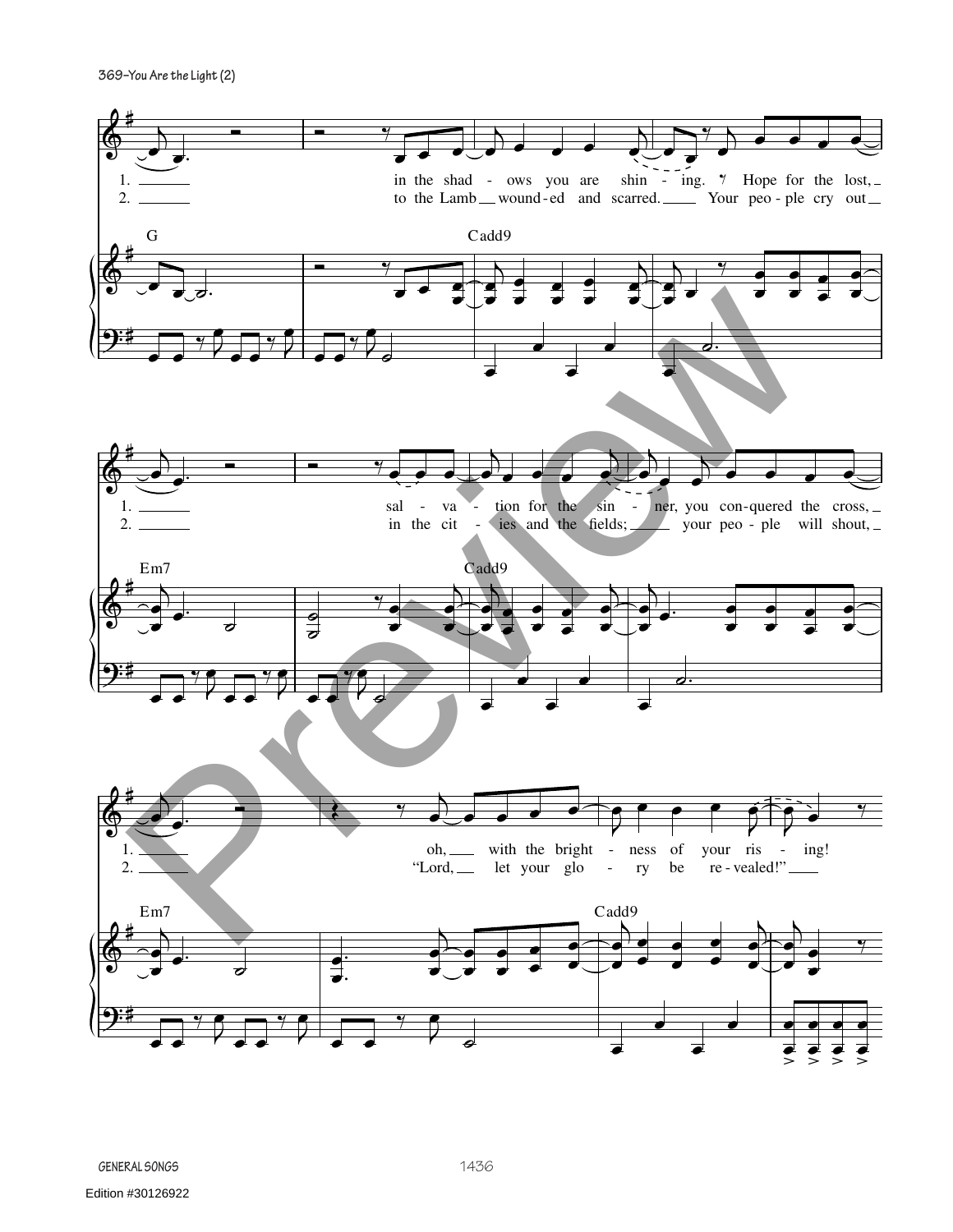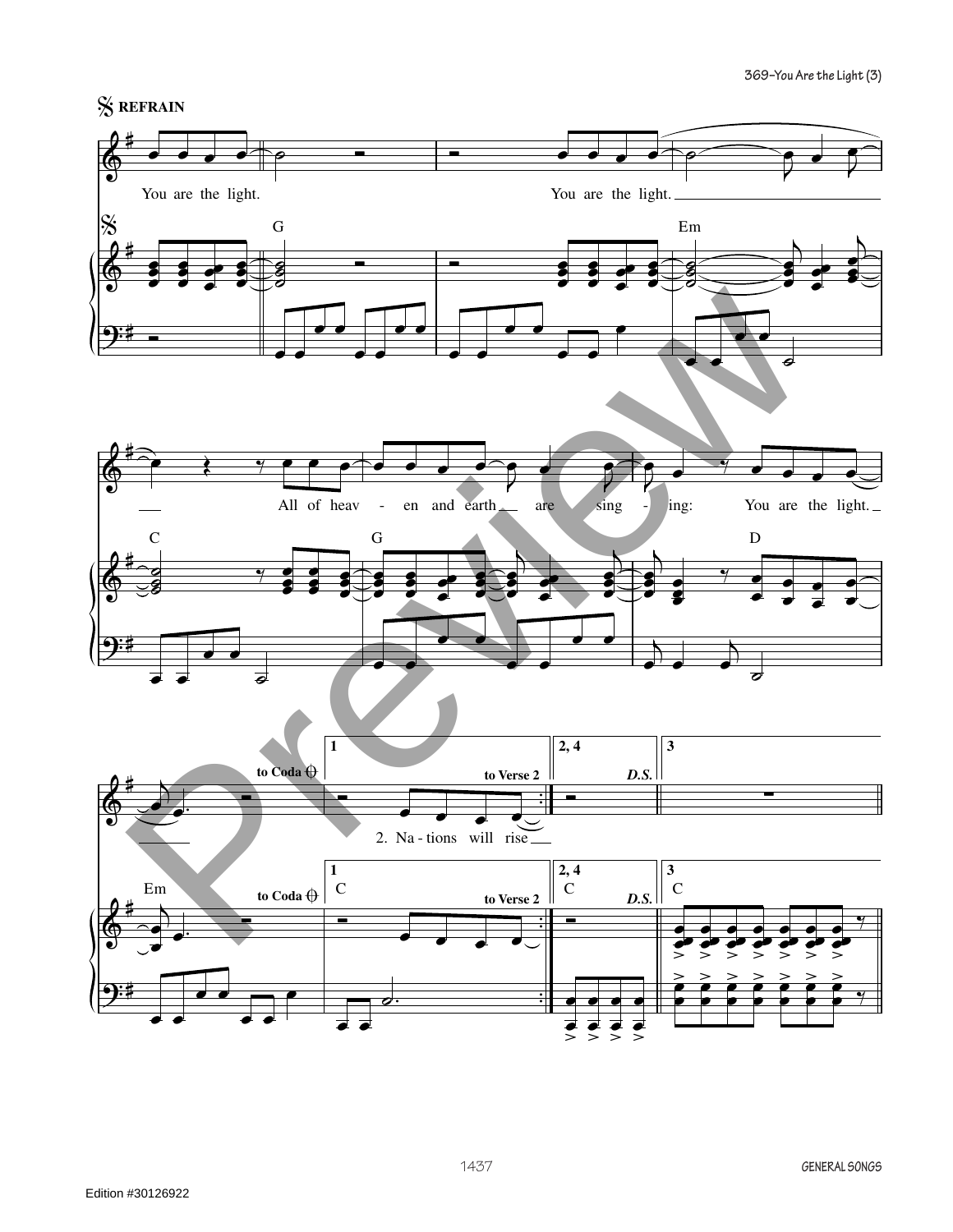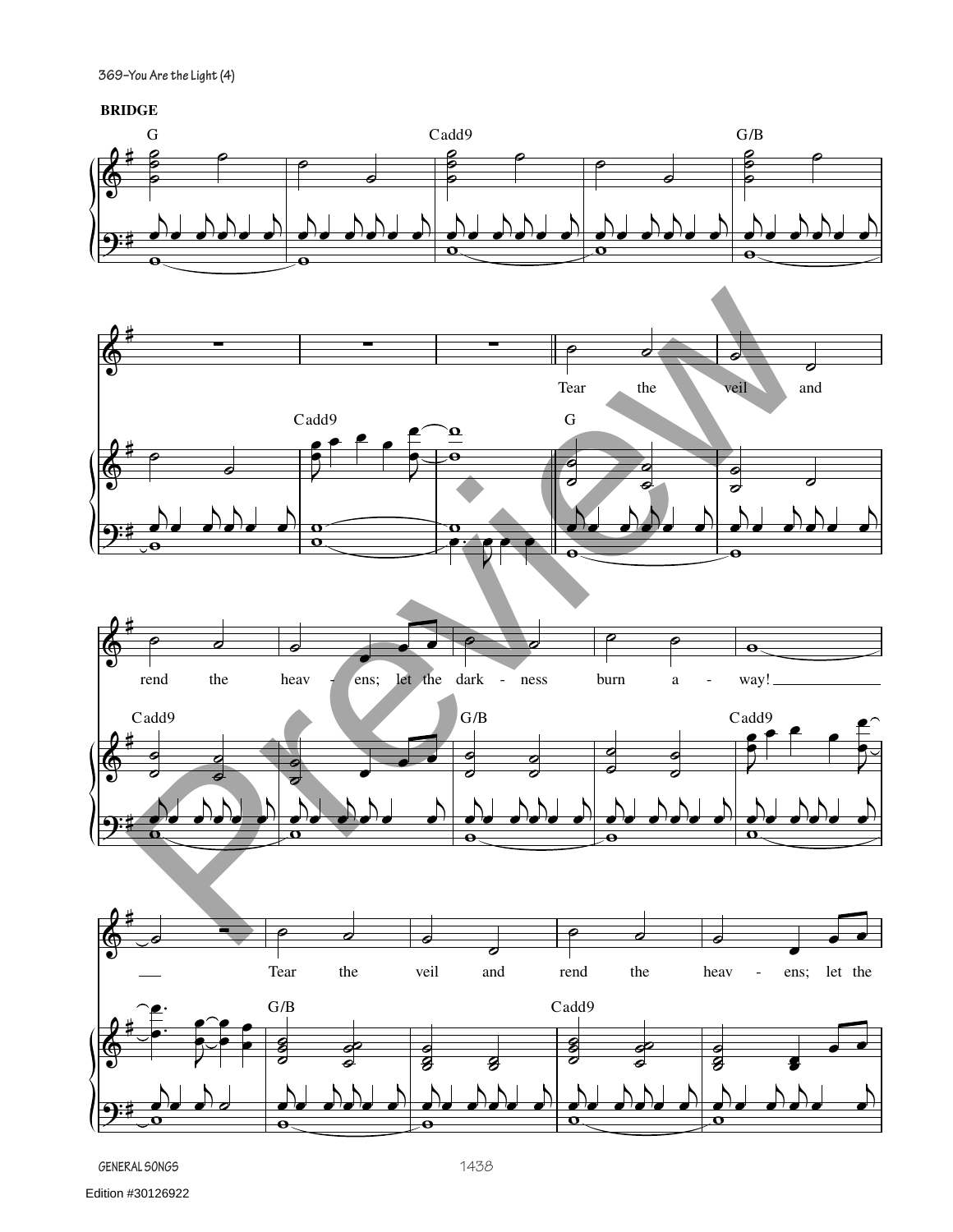